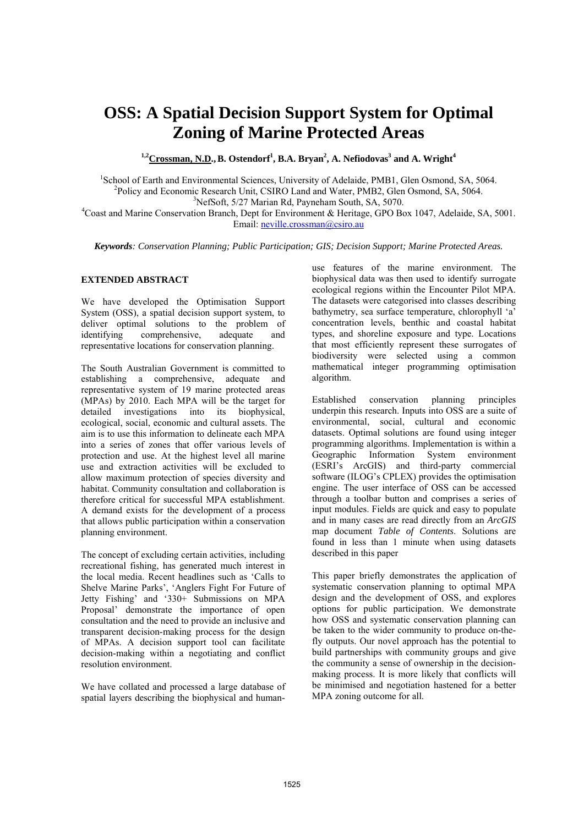# **OSS: A Spatial Decision Support System for Optimal Zoning of Marine Protected Areas**

<sup>1,2</sup>Crossman, N.D., B. Ostendorf<sup>1</sup>, B.A. Bryan<sup>2</sup>, A. Nefiodovas<sup>3</sup> and A. Wright<sup>4</sup>

<sup>1</sup>School of Earth and Environmental Sciences, University of Adelaide, PMB1, Glen Osmond, SA, 5064.<br><sup>2</sup> Policy and Economia Bessereb Unit, CSIBO Land and Water, PMB2, Glen Osmond, SA, 5064. <sup>2</sup>Policy and Economic Research Unit, CSIRO Land and Water, PMB2, Glen Osmond, SA, 5064.  $3$ NefSoft, 5/27 Marian Rd, Payneham South, SA, 5070.

Coast and Marine Conservation Branch, Dept for Environment & Heritage, GPO Box 1047, Adelaide, SA, 5001. Email: neville.crossman@csiro.au

*Keywords: Conservation Planning; Public Participation; GIS; Decision Support; Marine Protected Areas.* 

#### **EXTENDED ABSTRACT**

We have developed the Optimisation Support System (OSS), a spatial decision support system, to deliver optimal solutions to the problem of identifying comprehensive, adequate and representative locations for conservation planning.

The South Australian Government is committed to establishing a comprehensive, adequate and representative system of 19 marine protected areas (MPAs) by 2010. Each MPA will be the target for detailed investigations into its biophysical, ecological, social, economic and cultural assets. The aim is to use this information to delineate each MPA into a series of zones that offer various levels of protection and use. At the highest level all marine use and extraction activities will be excluded to allow maximum protection of species diversity and habitat. Community consultation and collaboration is therefore critical for successful MPA establishment. A demand exists for the development of a process that allows public participation within a conservation planning environment.

The concept of excluding certain activities, including recreational fishing, has generated much interest in the local media. Recent headlines such as 'Calls to Shelve Marine Parks', 'Anglers Fight For Future of Jetty Fishing' and '330+ Submissions on MPA Proposal' demonstrate the importance of open consultation and the need to provide an inclusive and transparent decision-making process for the design of MPAs. A decision support tool can facilitate decision-making within a negotiating and conflict resolution environment.

We have collated and processed a large database of spatial layers describing the biophysical and humanuse features of the marine environment. The biophysical data was then used to identify surrogate ecological regions within the Encounter Pilot MPA. The datasets were categorised into classes describing bathymetry, sea surface temperature, chlorophyll 'a' concentration levels, benthic and coastal habitat types, and shoreline exposure and type. Locations that most efficiently represent these surrogates of biodiversity were selected using a common mathematical integer programming optimisation algorithm.

Established conservation planning principles underpin this research. Inputs into OSS are a suite of environmental, social, cultural and economic datasets. Optimal solutions are found using integer programming algorithms. Implementation is within a Geographic Information System environment (ESRI's ArcGIS) and third-party commercial software (ILOG's CPLEX) provides the optimisation engine. The user interface of OSS can be accessed through a toolbar button and comprises a series of input modules. Fields are quick and easy to populate and in many cases are read directly from an *ArcGIS*  map document *Table of Contents*. Solutions are found in less than 1 minute when using datasets described in this paper

This paper briefly demonstrates the application of systematic conservation planning to optimal MPA design and the development of OSS, and explores options for public participation. We demonstrate how OSS and systematic conservation planning can be taken to the wider community to produce on-thefly outputs. Our novel approach has the potential to build partnerships with community groups and give the community a sense of ownership in the decisionmaking process. It is more likely that conflicts will be minimised and negotiation hastened for a better MPA zoning outcome for all.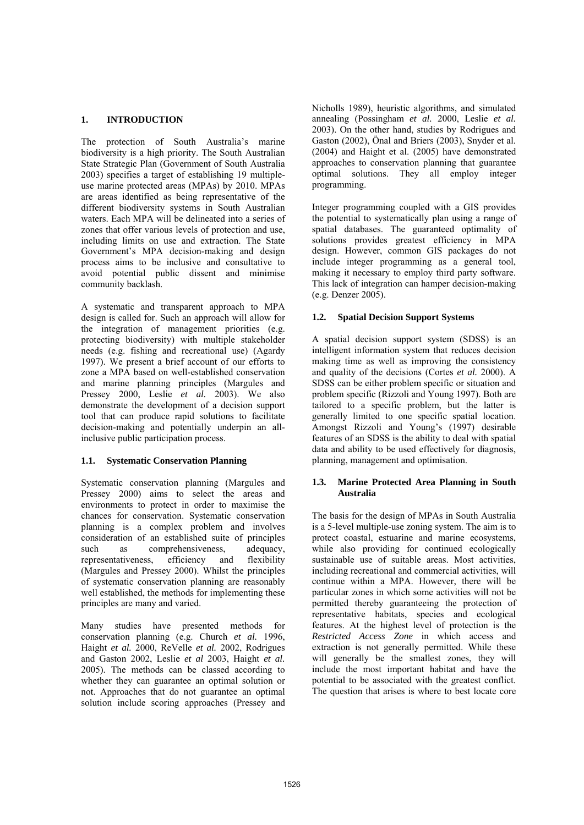# **1. INTRODUCTION**

The protection of South Australia's marine biodiversity is a high priority. The South Australian State Strategic Plan (Government of South Australia 2003) specifies a target of establishing 19 multipleuse marine protected areas (MPAs) by 2010. MPAs are areas identified as being representative of the different biodiversity systems in South Australian waters. Each MPA will be delineated into a series of zones that offer various levels of protection and use, including limits on use and extraction. The State Government's MPA decision-making and design process aims to be inclusive and consultative to avoid potential public dissent and minimise community backlash.

A systematic and transparent approach to MPA design is called for. Such an approach will allow for the integration of management priorities (e.g. protecting biodiversity) with multiple stakeholder needs (e.g. fishing and recreational use) (Agardy 1997). We present a brief account of our efforts to zone a MPA based on well-established conservation and marine planning principles (Margules and Pressey 2000, Leslie *et al.* 2003). We also demonstrate the development of a decision support tool that can produce rapid solutions to facilitate decision-making and potentially underpin an allinclusive public participation process.

# **1.1. Systematic Conservation Planning**

Systematic conservation planning (Margules and Pressey 2000) aims to select the areas and environments to protect in order to maximise the chances for conservation. Systematic conservation planning is a complex problem and involves consideration of an established suite of principles such as comprehensiveness, adequacy, representativeness, efficiency and flexibility (Margules and Pressey 2000). Whilst the principles of systematic conservation planning are reasonably well established, the methods for implementing these principles are many and varied.

Many studies have presented methods for conservation planning (e.g. Church *et al.* 1996, Haight *et al.* 2000, ReVelle *et al.* 2002, Rodrigues and Gaston 2002, Leslie *et al* 2003, Haight *et al.* 2005). The methods can be classed according to whether they can guarantee an optimal solution or not. Approaches that do not guarantee an optimal solution include scoring approaches (Pressey and Nicholls 1989), heuristic algorithms, and simulated annealing (Possingham *et al.* 2000, Leslie *et al.* 2003). On the other hand, studies by Rodrigues and Gaston (2002), Önal and Briers (2003), Snyder et al. (2004) and Haight et al. (2005) have demonstrated approaches to conservation planning that guarantee optimal solutions. They all employ integer programming.

Integer programming coupled with a GIS provides the potential to systematically plan using a range of spatial databases. The guaranteed optimality of solutions provides greatest efficiency in MPA design. However, common GIS packages do not include integer programming as a general tool, making it necessary to employ third party software. This lack of integration can hamper decision-making (e.g. Denzer 2005).

# **1.2. Spatial Decision Support Systems**

A spatial decision support system (SDSS) is an intelligent information system that reduces decision making time as well as improving the consistency and quality of the decisions (Cortes *et al.* 2000). A SDSS can be either problem specific or situation and problem specific (Rizzoli and Young 1997). Both are tailored to a specific problem, but the latter is generally limited to one specific spatial location. Amongst Rizzoli and Young's (1997) desirable features of an SDSS is the ability to deal with spatial data and ability to be used effectively for diagnosis, planning, management and optimisation.

#### **1.3. Marine Protected Area Planning in South Australia**

The basis for the design of MPAs in South Australia is a 5-level multiple-use zoning system. The aim is to protect coastal, estuarine and marine ecosystems, while also providing for continued ecologically sustainable use of suitable areas. Most activities, including recreational and commercial activities, will continue within a MPA. However, there will be particular zones in which some activities will not be permitted thereby guaranteeing the protection of representative habitats, species and ecological features. At the highest level of protection is the *Restricted Access Zone* in which access and extraction is not generally permitted. While these will generally be the smallest zones, they will include the most important habitat and have the potential to be associated with the greatest conflict. The question that arises is where to best locate core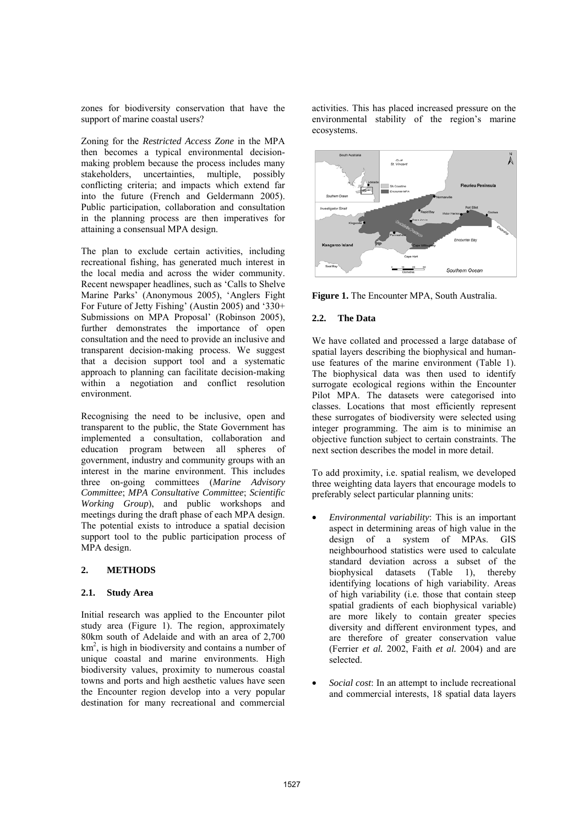zones for biodiversity conservation that have the support of marine coastal users?

Zoning for the *Restricted Access Zone* in the MPA then becomes a typical environmental decisionmaking problem because the process includes many stakeholders, uncertainties, multiple, possibly conflicting criteria; and impacts which extend far into the future (French and Geldermann 2005). Public participation, collaboration and consultation in the planning process are then imperatives for attaining a consensual MPA design.

The plan to exclude certain activities, including recreational fishing, has generated much interest in the local media and across the wider community. Recent newspaper headlines, such as 'Calls to Shelve Marine Parks' (Anonymous 2005), 'Anglers Fight For Future of Jetty Fishing' (Austin 2005) and '330+ Submissions on MPA Proposal' (Robinson 2005), further demonstrates the importance of open consultation and the need to provide an inclusive and transparent decision-making process. We suggest that a decision support tool and a systematic approach to planning can facilitate decision-making within a negotiation and conflict resolution environment.

Recognising the need to be inclusive, open and transparent to the public, the State Government has implemented a consultation, collaboration and education program between all spheres of government, industry and community groups with an interest in the marine environment. This includes three on-going committees (*Marine Advisory Committee*; *MPA Consultative Committee*; *Scientific Working Group*), and public workshops and meetings during the draft phase of each MPA design. The potential exists to introduce a spatial decision support tool to the public participation process of MPA design.

# **2. METHODS**

# **2.1. Study Area**

Initial research was applied to the Encounter pilot study area (Figure 1). The region, approximately 80km south of Adelaide and with an area of 2,700  $km<sup>2</sup>$ , is high in biodiversity and contains a number of unique coastal and marine environments. High biodiversity values, proximity to numerous coastal towns and ports and high aesthetic values have seen the Encounter region develop into a very popular destination for many recreational and commercial activities. This has placed increased pressure on the environmental stability of the region's marine ecosystems.



**Figure 1.** The Encounter MPA, South Australia.

# **2.2. The Data**

We have collated and processed a large database of spatial layers describing the biophysical and humanuse features of the marine environment (Table 1). The biophysical data was then used to identify surrogate ecological regions within the Encounter Pilot MPA. The datasets were categorised into classes. Locations that most efficiently represent these surrogates of biodiversity were selected using integer programming. The aim is to minimise an objective function subject to certain constraints. The next section describes the model in more detail.

To add proximity, i.e. spatial realism, we developed three weighting data layers that encourage models to preferably select particular planning units:

- *Environmental variability*: This is an important aspect in determining areas of high value in the design of a system of MPAs. GIS neighbourhood statistics were used to calculate standard deviation across a subset of the biophysical datasets (Table 1), thereby identifying locations of high variability. Areas of high variability (i.e. those that contain steep spatial gradients of each biophysical variable) are more likely to contain greater species diversity and different environment types, and are therefore of greater conservation value (Ferrier *et al.* 2002, Faith *et al.* 2004) and are selected.
- *Social cost*: In an attempt to include recreational and commercial interests, 18 spatial data layers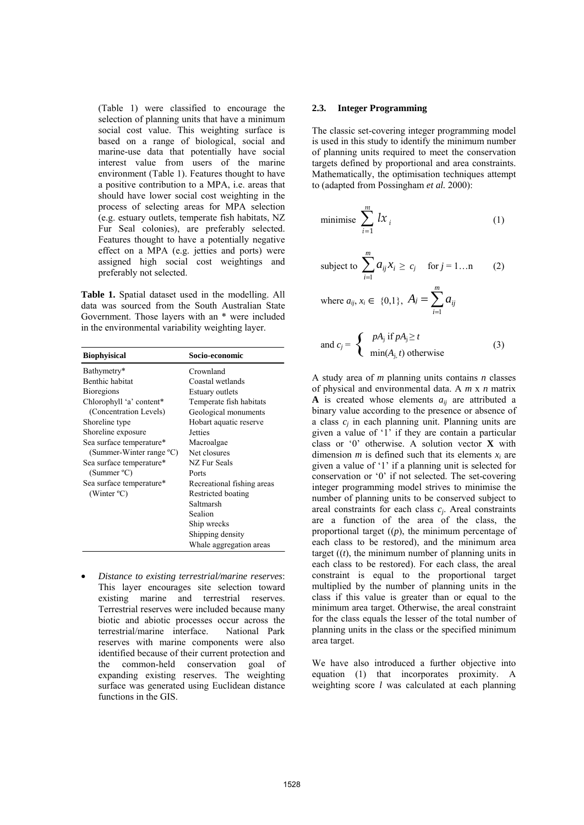(Table 1) were classified to encourage the selection of planning units that have a minimum social cost value. This weighting surface is based on a range of biological, social and marine-use data that potentially have social interest value from users of the marine environment (Table 1). Features thought to have a positive contribution to a MPA, i.e. areas that should have lower social cost weighting in the process of selecting areas for MPA selection (e.g. estuary outlets, temperate fish habitats, NZ Fur Seal colonies), are preferably selected. Features thought to have a potentially negative effect on a MPA (e.g. jetties and ports) were assigned high social cost weightings and preferably not selected.

**Table 1.** Spatial dataset used in the modelling. All data was sourced from the South Australian State Government. Those layers with an \* were included in the environmental variability weighting layer.

| <b>Biophyisical</b>      | Socio-economic             |
|--------------------------|----------------------------|
| Bathymetry*              | Crownland                  |
| Benthic habitat          | Coastal wetlands           |
| <b>Bioregions</b>        | Estuary outlets            |
| Chlorophyll 'a' content* | Temperate fish habitats    |
| (Concentration Levels)   | Geological monuments       |
| Shoreline type           | Hobart aquatic reserve     |
| Shoreline exposure       | Jetties                    |
| Sea surface temperature* | Macroalgae                 |
| (Summer-Winter range °C) | Net closures               |
| Sea surface temperature* | <b>NZ Fur Seals</b>        |
| (Summer $^{\circ}$ C)    | Ports                      |
| Sea surface temperature* | Recreational fishing areas |
| (Winter $^{\circ}$ C)    | Restricted boating         |
|                          | Saltmarsh                  |
|                          | Sealion                    |
|                          | Ship wrecks                |
|                          | Shipping density           |
|                          | Whale aggregation areas    |

• *Distance to existing terrestrial/marine reserves*: This layer encourages site selection toward existing marine and terrestrial reserves. Terrestrial reserves were included because many biotic and abiotic processes occur across the terrestrial/marine interface. National Park reserves with marine components were also identified because of their current protection and the common-held conservation goal of expanding existing reserves. The weighting surface was generated using Euclidean distance functions in the GIS.

#### **2.3. Integer Programming**

The classic set-covering integer programming model is used in this study to identify the minimum number of planning units required to meet the conservation targets defined by proportional and area constraints. Mathematically, the optimisation techniques attempt to (adapted from Possingham *et al.* 2000):

minimise 
$$
\sum_{i=1}^{m} lx_i
$$
 (1)

subject to 
$$
\sum_{i=1}^{m} a_{ij} x_i \ge c_j \quad \text{for } j = 1...n \qquad (2)
$$

where 
$$
a_{ij}, x_i \in \{0,1\}, A_j = \sum_{i=1}^m a_{ij}
$$

and 
$$
c_j = \begin{cases} pA_j \text{ if } pA_j \ge t \\ \min(A_{j,} t) \text{ otherwise} \end{cases}
$$
 (3)

A study area of *m* planning units contains *n* classes of physical and environmental data. A *m* x *n* matrix **A** is created whose elements  $a_{ij}$  are attributed a binary value according to the presence or absence of a class *cj* in each planning unit. Planning units are given a value of '1' if they are contain a particular class or '0' otherwise. A solution vector **X** with dimension  $m$  is defined such that its elements  $x_i$  are given a value of '1' if a planning unit is selected for conservation or '0' if not selected. The set-covering integer programming model strives to minimise the number of planning units to be conserved subject to areal constraints for each class *cj*. Areal constraints are a function of the area of the class, the proportional target ((*p*), the minimum percentage of each class to be restored), and the minimum area target  $((t))$ , the minimum number of planning units in each class to be restored). For each class, the areal constraint is equal to the proportional target multiplied by the number of planning units in the class if this value is greater than or equal to the minimum area target. Otherwise, the areal constraint for the class equals the lesser of the total number of planning units in the class or the specified minimum area target.

We have also introduced a further objective into equation (1) that incorporates proximity. A weighting score *l* was calculated at each planning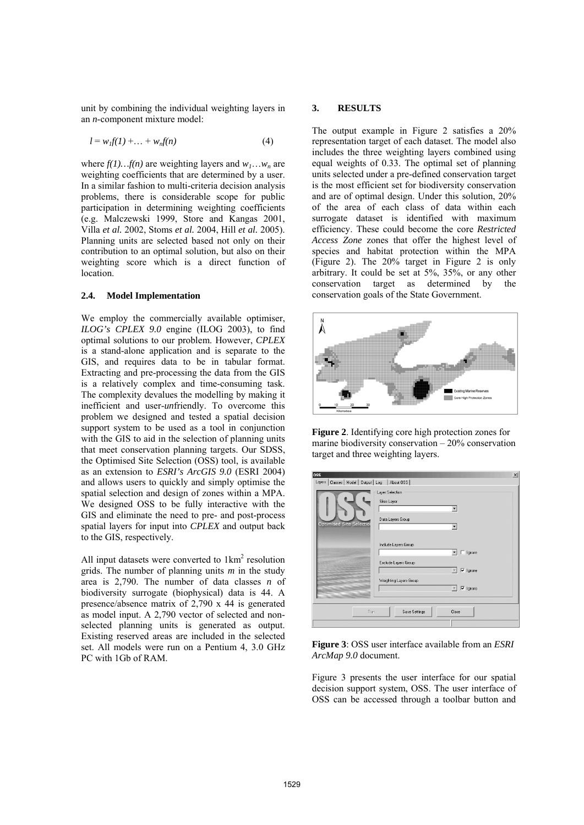unit by combining the individual weighting layers in an *n*-component mixture model:

$$
l = w_l f(1) + \dots + w_n f(n) \tag{4}
$$

where  $f(1)...f(n)$  are weighting layers and  $w_1...w_n$  are weighting coefficients that are determined by a user. In a similar fashion to multi-criteria decision analysis problems, there is considerable scope for public participation in determining weighting coefficients (e.g. Malczewski 1999, Store and Kangas 2001, Villa *et al.* 2002, Stoms *et al.* 2004, Hill *et al.* 2005). Planning units are selected based not only on their contribution to an optimal solution, but also on their weighting score which is a direct function of location.

#### **2.4. Model Implementation**

We employ the commercially available optimiser, *ILOG's CPLEX 9.0* engine (ILOG 2003), to find optimal solutions to our problem. However, *CPLEX* is a stand-alone application and is separate to the GIS, and requires data to be in tabular format. Extracting and pre-processing the data from the GIS is a relatively complex and time-consuming task. The complexity devalues the modelling by making it inefficient and user-*un*friendly. To overcome this problem we designed and tested a spatial decision support system to be used as a tool in conjunction with the GIS to aid in the selection of planning units that meet conservation planning targets. Our SDSS, the Optimised Site Selection (OSS) tool, is available as an extension to *ESRI's ArcGIS 9.0* (ESRI 2004) and allows users to quickly and simply optimise the spatial selection and design of zones within a MPA. We designed OSS to be fully interactive with the GIS and eliminate the need to pre- and post-process spatial layers for input into *CPLEX* and output back to the GIS, respectively.

All input datasets were converted to  $1 \text{km}^2$  resolution grids. The number of planning units *m* in the study area is 2,790. The number of data classes *n* of biodiversity surrogate (biophysical) data is 44. A presence/absence matrix of 2,790 x 44 is generated as model input. A 2,790 vector of selected and nonselected planning units is generated as output. Existing reserved areas are included in the selected set. All models were run on a Pentium 4, 3.0 GHz PC with 1Gb of RAM.

#### **3. RESULTS**

The output example in Figure 2 satisfies a 20% representation target of each dataset. The model also includes the three weighting layers combined using equal weights of 0.33. The optimal set of planning units selected under a pre-defined conservation target is the most efficient set for biodiversity conservation and are of optimal design. Under this solution, 20% of the area of each class of data within each surrogate dataset is identified with maximum efficiency. These could become the core *Restricted Access Zone* zones that offer the highest level of species and habitat protection within the MPA (Figure 2). The 20% target in Figure 2 is only arbitrary. It could be set at 5%, 35%, or any other conservation target as determined by the conservation goals of the State Government.



**Figure 2**. Identifying core high protection zones for marine biodiversity conservation – 20% conservation target and three weighting layers.

| 055<br>Layers   Classes   Model   Dutput   Log   About OSS |                                                                                                        | $\times$ |
|------------------------------------------------------------|--------------------------------------------------------------------------------------------------------|----------|
| <b>Optimised Site Selection</b>                            | Layer Selection<br>Sites Layer<br>Data Layers Group                                                    |          |
|                                                            | Include Layers Group<br>$\Box$ Ignore<br>۰<br>Exclude Layers Group                                     |          |
|                                                            | $\overline{\mathsf{v}}$ Ignore<br>Weighting Layers Group<br>$\nabla$ Ignore<br>$\overline{\mathbf{v}}$ |          |
| <b>Bun</b>                                                 | Save Settings<br>Close                                                                                 |          |

**Figure 3**: OSS user interface available from an *ESRI ArcMap 9.0* document.

Figure 3 presents the user interface for our spatial decision support system, OSS. The user interface of OSS can be accessed through a toolbar button and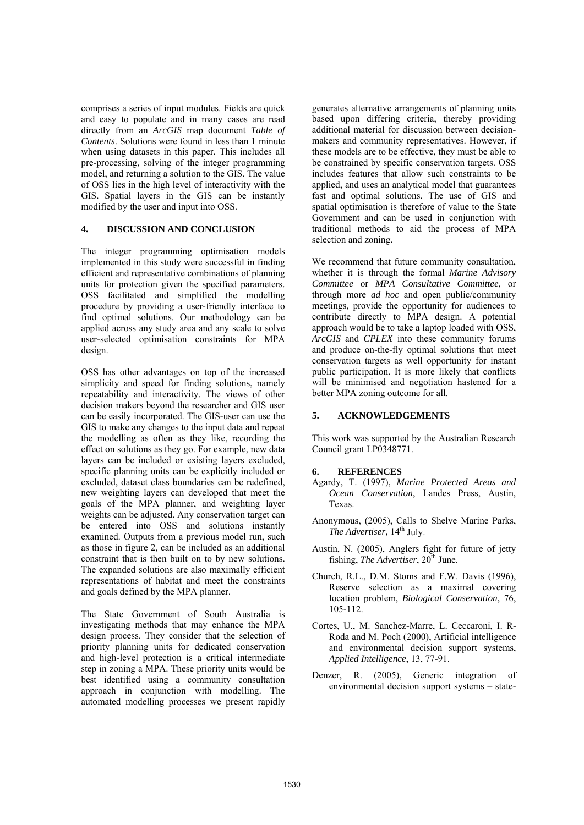comprises a series of input modules. Fields are quick and easy to populate and in many cases are read directly from an *ArcGIS* map document *Table of Contents*. Solutions were found in less than 1 minute when using datasets in this paper. This includes all pre-processing, solving of the integer programming model, and returning a solution to the GIS. The value of OSS lies in the high level of interactivity with the GIS. Spatial layers in the GIS can be instantly modified by the user and input into OSS.

#### **4. DISCUSSION AND CONCLUSION**

The integer programming optimisation models implemented in this study were successful in finding efficient and representative combinations of planning units for protection given the specified parameters. OSS facilitated and simplified the modelling procedure by providing a user-friendly interface to find optimal solutions. Our methodology can be applied across any study area and any scale to solve user-selected optimisation constraints for MPA design.

OSS has other advantages on top of the increased simplicity and speed for finding solutions, namely repeatability and interactivity. The views of other decision makers beyond the researcher and GIS user can be easily incorporated. The GIS-user can use the GIS to make any changes to the input data and repeat the modelling as often as they like, recording the effect on solutions as they go. For example, new data layers can be included or existing layers excluded, specific planning units can be explicitly included or excluded, dataset class boundaries can be redefined, new weighting layers can developed that meet the goals of the MPA planner, and weighting layer weights can be adjusted. Any conservation target can be entered into OSS and solutions instantly examined. Outputs from a previous model run, such as those in figure 2, can be included as an additional constraint that is then built on to by new solutions. The expanded solutions are also maximally efficient representations of habitat and meet the constraints and goals defined by the MPA planner.

The State Government of South Australia is investigating methods that may enhance the MPA design process. They consider that the selection of priority planning units for dedicated conservation and high-level protection is a critical intermediate step in zoning a MPA. These priority units would be best identified using a community consultation approach in conjunction with modelling. The automated modelling processes we present rapidly

generates alternative arrangements of planning units based upon differing criteria, thereby providing additional material for discussion between decisionmakers and community representatives. However, if these models are to be effective, they must be able to be constrained by specific conservation targets. OSS includes features that allow such constraints to be applied, and uses an analytical model that guarantees fast and optimal solutions. The use of GIS and spatial optimisation is therefore of value to the State Government and can be used in conjunction with traditional methods to aid the process of MPA selection and zoning.

We recommend that future community consultation, whether it is through the formal *Marine Advisory Committee* or *MPA Consultative Committee*, or through more *ad hoc* and open public/community meetings, provide the opportunity for audiences to contribute directly to MPA design. A potential approach would be to take a laptop loaded with OSS, *ArcGIS* and *CPLEX* into these community forums and produce on-the-fly optimal solutions that meet conservation targets as well opportunity for instant public participation. It is more likely that conflicts will be minimised and negotiation hastened for a better MPA zoning outcome for all.

# **5. ACKNOWLEDGEMENTS**

This work was supported by the Australian Research Council grant LP0348771.

# **6. REFERENCES**

- Agardy, T. (1997), *Marine Protected Areas and Ocean Conservation*, Landes Press, Austin, Texas.
- Anonymous, (2005), Calls to Shelve Marine Parks, *The Advertiser*, 14<sup>th</sup> July.
- Austin, N. (2005), Anglers fight for future of jetty fishing, *The Advertiser*,  $20^{th}$  June.
- Church, R.L., D.M. Stoms and F.W. Davis (1996), Reserve selection as a maximal covering location problem, *Biological Conservation*, 76, 105-112.
- Cortes, U., M. Sanchez-Marre, L. Ceccaroni, I. R-Roda and M. Poch (2000), Artificial intelligence and environmental decision support systems, *Applied Intelligence*, 13, 77-91.
- Denzer, R. (2005), Generic integration of environmental decision support systems – state-